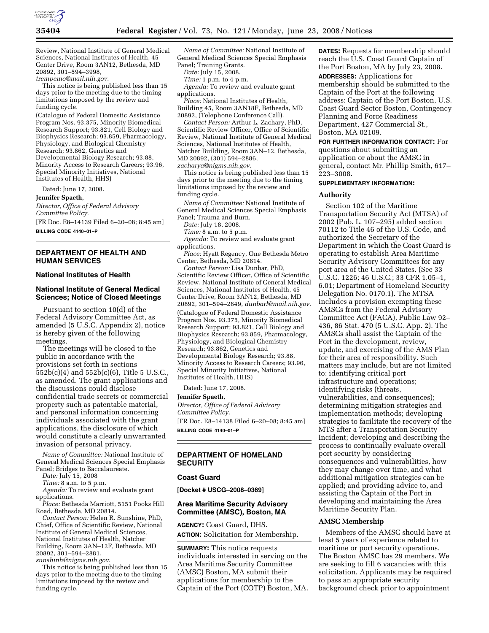

Review, National Institute of General Medical Sciences, National Institutes of Health, 45 Center Drive, Room 3AN12, Bethesda, MD 20892, 301–594–3998, *trempemo@mail.nih.gov*.

This notice is being published less than 15 days prior to the meeting due to the timing limitations imposed by the review and funding cycle.

(Catalogue of Federal Domestic Assistance Program Nos. 93.375, Minority Biomedical Research Support; 93.821, Cell Biology and Biophysics Research; 93.859, Pharmacology, Physiology, and Biological Chemistry Research; 93.862, Genetics and Developmental Biology Research; 93.88, Minority Access to Research Careers; 93.96, Special Minority Initiatives, National Institutes of Health, HHS)

Dated: June 17, 2008.

**Jennifer Spaeth,** 

*Director, Office of Federal Advisory Committee Policy.*  [FR Doc. E8–14139 Filed 6–20–08; 8:45 am] **BILLING CODE 4140–01–P** 

## **DEPARTMENT OF HEALTH AND HUMAN SERVICES**

### **National Institutes of Health**

# **National Institute of General Medical Sciences; Notice of Closed Meetings**

Pursuant to section 10(d) of the Federal Advisory Committee Act, as amended (5 U.S.C. Appendix 2), notice is hereby given of the following meetings.

The meetings will be closed to the public in accordance with the provisions set forth in sections 552b(c)(4) and 552b(c)(6), Title 5 U.S.C., as amended. The grant applications and the discussions could disclose confidential trade secrets or commercial property such as patentable material, and personal information concerning individuals associated with the grant applications, the disclosure of which would constitute a clearly unwarranted invasion of personal privacy.

*Name of Committee:* National Institute of General Medical Sciences Special Emphasis Panel; Bridges to Baccalaureate.

*Date:* July 15, 2008

*Time:* 8 a.m. to 5 p.m.

*Agenda:* To review and evaluate grant applications.

*Place:* Bethesda Marriott, 5151 Pooks Hill Road, Bethesda, MD 20814.

*Contact Person:* Helen R. Sunshine, PhD, Chief, Office of Scientific Review, National Institute of General Medical Sciences, National Institutes of Health, Natcher Building, Room 3AN–12F, Bethesda, MD 20892, 301–594–2881,

*sunshinh@nigms.nih.gov*.

This notice is being published less than 15 days prior to the meeting due to the timing limitations imposed by the review and funding cycle.

*Name of Committee:* National Institute of General Medical Sciences Special Emphasis Panel; Training Grants.

*Date:* July 15, 2008.

*Time:* 1 p.m. to 4 p.m.

*Agenda:* To review and evaluate grant applications.

*Place:* National Institutes of Health, Building 45, Room 3AN18F, Bethesda, MD 20892, (Telephone Conference Call).

*Contact Person:* Arthur L. Zachary, PhD, Scientific Review Officer, Office of Scientific Review, National Institute of General Medical Sciences, National Institutes of Health, Natcher Building, Room 3AN–12, Bethesda, MD 20892, (301) 594–2886, *zacharya@nigms.nih.gov*.

This notice is being published less than 15 days prior to the meeting due to the timing limitations imposed by the review and funding cycle.

*Name of Committee:* National Institute of General Medical Sciences Special Emphasis Panel; Trauma and Burn.

*Date:* July 18, 2008.

*Time:* 8 a.m. to 5 p.m.

*Agenda:* To review and evaluate grant applications.

*Place:* Hyatt Regency, One Bethesda Metro Center, Bethesda, MD 20814.

*Contact Person:* Lisa Dunbar, PhD, Scientific Review Officer, Office of Scientific Review, National Institute of General Medical Sciences, National Institutes of Health, 45 Center Drive, Room 3AN12, Bethesda, MD 20892, 301–594–2849, *dunbarl@mail.nih.gov*. (Catalogue of Federal Domestic Assistance Program Nos. 93.375, Minority Biomedical Research Support; 93.821, Cell Biology and Biophysics Research; 93.859, Pharmacology, Physiology, and Biological Chemistry Research; 93.862, Genetics and Developmental Biology Research; 93.88, Minority Access to Research Careers; 93.96, Special Minority Initiatives, National Institutes of Health, HHS)

Dated: June 17, 2008.

### **Jennifer Spaeth,**

*Director, Office of Federal Advisory Committee Policy.*  [FR Doc. E8–14138 Filed 6–20–08; 8:45 am]

**BILLING CODE 4140–01–P** 

# **DEPARTMENT OF HOMELAND SECURITY**

# **Coast Guard**

**[Docket # USCG–2008–0369]** 

## **Area Maritime Security Advisory Committee (AMSC), Boston, MA**

**AGENCY:** Coast Guard, DHS. **ACTION:** Solicitation for Membership.

**SUMMARY:** This notice requests individuals interested in serving on the Area Maritime Security Committee (AMSC) Boston, MA submit their applications for membership to the Captain of the Port (COTP) Boston, MA. **DATES:** Requests for membership should reach the U.S. Coast Guard Captain of the Port Boston, MA by July 23, 2008. **ADDRESSES:** Applications for membership should be submitted to the Captain of the Port at the following address: Captain of the Port Boston, U.S. Coast Guard Sector Boston, Contingency Planning and Force Readiness Department, 427 Commercial St., Boston, MA 02109.

**FOR FURTHER INFORMATION CONTACT:** For

questions about submitting an application or about the AMSC in general, contact Mr. Phillip Smith, 617– 223–3008.

#### **SUPPLEMENTARY INFORMATION:**

#### **Authority**

Section 102 of the Maritime Transportation Security Act (MTSA) of 2002 (Pub. L. 107–295) added section 70112 to Title 46 of the U.S. Code, and authorized the Secretary of the Department in which the Coast Guard is operating to establish Area Maritime Security Advisory Committees for any port area of the United States. (See 33 U.S.C. 1226; 46 U.S.C.; 33 CFR 1.05–1, 6.01; Department of Homeland Security Delegation No. 0170.1). The MTSA includes a provision exempting these AMSCs from the Federal Advisory Committee Act (FACA), Public Law 92– 436, 86 Stat. 470 (5 U.S.C. App. 2). The AMSCs shall assist the Captain of the Port in the development, review, update, and exercising of the AMS Plan for their area of responsibility. Such matters may include, but are not limited to: identifying critical port infrastructure and operations; identifying risks (threats, vulnerabilities, and consequences); determining mitigation strategies and implementation methods; developing strategies to facilitate the recovery of the MTS after a Transportation Security Incident; developing and describing the process to continually evaluate overall port security by considering consequences and vulnerabilities, how they may change over time, and what additional mitigation strategies can be applied; and providing advice to, and assisting the Captain of the Port in developing and maintaining the Area Maritime Security Plan.

## **AMSC Membership**

Members of the AMSC should have at least 5 years of experience related to maritime or port security operations. The Boston AMSC has 29 members. We are seeking to fill 6 vacancies with this solicitation. Applicants may be required to pass an appropriate security background check prior to appointment